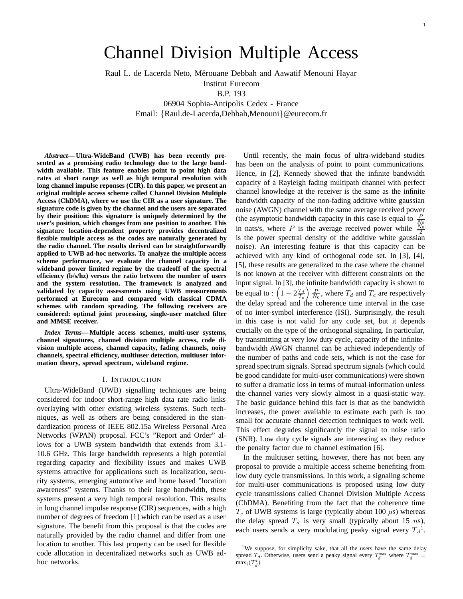# Channel Division Multiple Access

Raul L. de Lacerda Neto, Mérouane Debbah and Aawatif Menouni Hayar

Institut Eurecom B.P. 193

06904 Sophia-Antipolis Cedex - France Email: {Raul.de-Lacerda,Debbah,Menouni}@eurecom.fr

*Abstract***— Ultra-WideBand (UWB) has been recently presented as a promising radio technology due to the large bandwidth available. This feature enables point to point high data rates at short range as well as high temporal resolution with long channel impulse reponses (CIR). In this paper, we present an original multiple access scheme called Channel Division Multiple Access (ChDMA), where we use the CIR as a user signature. The signature code is given by the channel and the users are separated by their position: this signature is uniquely determined by the user's position, which changes from one position to another. This signature location-dependent property provides decentralized flexible multiple access as the codes are naturally generated by the radio channel. The results derived can be straightforwardly applied to UWB ad-hoc networks. To analyze the multiple access scheme performance, we evaluate the channel capacity in a wideband power limited regime by the tradeoff of the spectral efficiency (b/s/hz) versus the ratio between the number of users and the system resolution. The framework is analyzed and validated by capacity assessments using UWB measurements performed at Eurecom and compared with classical CDMA schemes with random spreading. The following receivers are considered: optimal joint processing, single-user matched filter and MMSE receiver.**

*Index Terms***— Multiple access schemes, multi-user systems, channel signatures, channel division multiple access, code division multiple access, channel capacity, fading channels, noisy channels, spectral efficiency, multiuser detection, multiuser information theory, spread spectrum, wideband regime.**

## I. INTRODUCTION

Ultra-WideBand (UWB) signalling techniques are being considered for indoor short-range high data rate radio links overlaying with other existing wireless systems. Such techniques, as well as others are being considered in the standardization process of IEEE 802.15a Wireless Personal Area Networks (WPAN) proposal. FCC's "Report and Order" allows for a UWB system bandwidth that extends from 3.1- 10.6 GHz. This large bandwidth represents a high potential regarding capacity and flexibility issues and makes UWB systems attractive for applications such as localization, security systems, emerging automotive and home based "location awareness" systems. Thanks to their large bandwidth, these systems present a very high temporal resolution. This results in long channel impulse response (CIR) sequences, with a high number of degrees of freedom [1] which can be used as a user signature. The benefit from this proposal is that the codes are naturally provided by the radio channel and differ from one location to another. This last property can be used for flexible code allocation in decentralized networks such as UWB adhoc networks.

Until recently, the main focus of ultra-wideband studies has been on the analysis of point to point communications. Hence, in [2], Kennedy showed that the infinite bandwidth capacity of a Rayleigh fading multipath channel with perfect channel knowledge at the receiver is the same as the infinite bandwidth capacity of the non-fading additive white gaussian noise (AWGN) channel with the same average received power (the asymptotic bandwidth capacity in this case is equal to  $\frac{P}{N_0}$  in nats/s, where P is the average received power while  $\frac{N_0}{2}$ is the power spectral density of the additive white gaussian noise). An interesting feature is that this capacity can be achieved with any kind of orthogonal code set. In [3], [4], [5], these results are generalized to the case where the channel is not known at the receiver with different constraints on the input signal. In [3], the infinite bandwidth capacity is shown to be equal to :  $\left(1 - 2\frac{T_d}{T_c}\right) \frac{P}{N_0}$ , where  $T_d$  and  $T_c$  are respectively the delay spread and the coherence time interval in the case of no inter-symbol interference (ISI). Surprisingly, the result in this case is not valid for any code set, but it depends crucially on the type of the orthogonal signaling. In particular, by transmitting at very low duty cycle, capacity of the infinitebandwidth AWGN channel can be achieved independently of the number of paths and code sets, which is not the case for spread spectrum signals. Spread spectrum signals (which could be good candidate for multi-user communications) were shown to suffer a dramatic loss in terms of mutual information unless the channel varies very slowly almost in a quasi-static way. The basic guidance behind this fact is that as the bandwidth increases, the power available to estimate each path is too small for accurate channel detection techniques to work well. This effect degrades significantly the signal to noise ratio (SNR). Low duty cycle signals are interesting as they reduce the penalty factor due to channel estimation [6].

In the multiuser setting, however, there has not been any proposal to provide a multiple access scheme benefiting from low duty cycle transmissions. In this work, a signaling scheme for multi-user communications is proposed using low duty cycle transmissions called Channel Division Multiple Access (ChDMA). Benefiting from the fact that the coherence time  $T_c$  of UWB systems is large (typically about 100  $\mu$ s) whereas the delay spread  $T_d$  is very small (typically about 15 ns), each users sends a very modulating peaky signal every  $T_d^1$ .

<sup>&</sup>lt;sup>1</sup>We suppose, for simplicity sake, that all the users have the same delay spread  $T_d$ . Otherwise, users send a peaky signal every  $T_d^{\max}$  where  $T_d^{\max}$  =  $max_i(T_d^i)$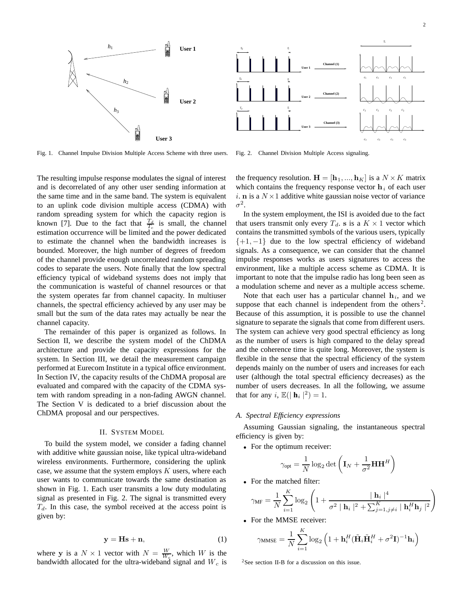

Fig. 1. Channel Impulse Division Multiple Access Scheme with three users.

Fig. 2. Channel Division Multiple Access signaling.

The resulting impulse response modulates the signal of interest and is decorrelated of any other user sending information at the same time and in the same band. The system is equivalent to an uplink code division multiple access (CDMA) with random spreading system for which the capacity region is known [7]. Due to the fact that  $\frac{T_d}{T_c}$  is small, the channel estimation occurrence will be limited and the power dedicated to estimate the channel when the bandwidth increases is bounded. Moreover, the high number of degrees of freedom of the channel provide enough uncorrelated random spreading codes to separate the users. Note finally that the low spectral efficiency typical of wideband systems does not imply that the communication is wasteful of channel resources or that the system operates far from channel capacity. In multiuser channels, the spectral efficiency achieved by any user may be small but the sum of the data rates may actually be near the channel capacity.

The remainder of this paper is organized as follows. In Section II, we describe the system model of the ChDMA architecture and provide the capacity expressions for the system. In Section III, we detail the measurement campaign performed at Eurecom Institute in a typical office environment. In Section IV, the capacity results of the ChDMA proposal are evaluated and compared with the capacity of the CDMA system with random spreading in a non-fading AWGN channel. The Section V is dedicated to a brief discussion about the ChDMA proposal and our perspectives.

#### II. SYSTEM MODEL

To build the system model, we consider a fading channel with additive white gaussian noise, like typical ultra-wideband wireless environments. Furthermore, considering the uplink case, we assume that the system employs  $K$  users, where each user wants to communicate towards the same destination as shown in Fig. 1. Each user transmits a low duty modulating signal as presented in Fig. 2. The signal is transmitted every  $T<sub>d</sub>$ . In this case, the symbol received at the access point is given by:

$$
y = Hs + n,\tag{1}
$$

where **y** is a  $N \times 1$  vector with  $N = \frac{W}{W_c}$ , which W is the bandwidth allocated for the ultra-wideband signal and  $W_c$  is the frequency resolution.  $\mathbf{H} = [\mathbf{h}_1, ..., \mathbf{h}_K]$  is a  $N \times K$  matrix which contains the frequency response vector  $\mathbf{h}_i$  of each user i. **n** is a  $N \times 1$  additive white gaussian noise vector of variance  $\sigma^2$ .

In the system employment, the ISI is avoided due to the fact that users transmit only every  $T_d$ . **s** is a  $K \times 1$  vector which contains the transmitted symbols of the various users, typically  $\{+1, -1\}$  due to the low spectral efficiency of wideband signals. As a consequence, we can consider that the channel impulse responses works as users signatures to access the environment, like a multiple access scheme as CDMA. It is important to note that the impulse radio has long been seen as a modulation scheme and never as a multiple access scheme.

Note that each user has a particular channel  $h_i$ , and we suppose that each channel is independent from the others<sup>2</sup>. Because of this assumption, it is possible to use the channel signature to separate the signals that come from different users. The system can achieve very good spectral efficiency as long as the number of users is high compared to the delay spread and the coherence time is quite long. Moreover, the system is flexible in the sense that the spectral efficiency of the system depends mainly on the number of users and increases for each user (although the total spectral efficiency decreases) as the number of users decreases. In all the following, we assume that for any i,  $\mathbb{E}(|\mathbf{h}_i|^2) = 1$ .

## *A. Spectral Efficiency expressions*

Assuming Gaussian signaling, the instantaneous spectral efficiency is given by:

• For the optimum receiver:

$$
\gamma_{\rm opt} = \frac{1}{N}\log_2\det\left(\mathbf{I}_N + \frac{1}{\sigma^2}\mathbf{H}\mathbf{H}^H\right)
$$

• For the matched filter:

$$
\gamma_{\text{MF}} = \frac{1}{N} \sum_{i=1}^{K} \log_2 \left( 1 + \frac{|\mathbf{h}_i|^4}{\sigma^2 ||\mathbf{h}_i||^2 + \sum_{j=1, j \neq i}^{K} ||\mathbf{h}_i^H \mathbf{h}_j||^2} \right)
$$

• For the MMSE receiver:

$$
\gamma_{\text{MMSE}} = \frac{1}{N} \sum_{i=1}^{K} \log_2 \left( 1 + \mathbf{h}_i^H (\tilde{\mathbf{H}}_i \tilde{\mathbf{H}}_i^H + \sigma^2 \mathbf{I})^{-1} \mathbf{h}_i \right)
$$

2See section II-B for a discussion on this issue.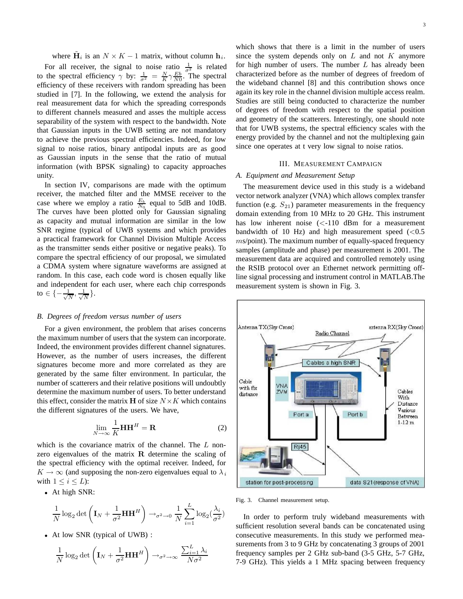where  $H_i$  is an  $N \times K - 1$  matrix, without column  $h_i$ .

For all receiver, the signal to noise ratio  $\frac{1}{\sigma^2}$  is related to the spectral efficiency  $\gamma$  by:  $\frac{1}{\sigma^2} = \frac{N}{K} \gamma \frac{Eb}{N0}$ . The spectral efficiency of these receivers with random spreading has been studied in [7]. In the following, we extend the analysis for real measurement data for which the spreading corresponds to different channels measured and asses the multiple access separability of the system with respect to the bandwidth. Note that Gaussian inputs in the UWB setting are not mandatory to achieve the previous spectral efficiencies. Indeed, for low signal to noise ratios, binary antipodal inputs are as good as Gaussian inputs in the sense that the ratio of mutual information (with BPSK signaling) to capacity approaches unity.

In section IV, comparisons are made with the optimum receiver, the matched filter and the MMSE receiver to the case where we employ a ratio  $\frac{E_b}{N_0}$  equal to 5dB and 10dB. The curves have been plotted only for Gaussian signaling as capacity and mutual information are similar in the low SNR regime (typical of UWB systems and which provides a practical framework for Channel Division Multiple Access as the transmitter sends either positive or negative peaks). To compare the spectral efficiency of our proposal, we simulated a CDMA system where signature waveforms are assigned at random. In this case, each code word is chosen equally like and independent for each user, where each chip corresponds to  $\in \{-\frac{1}{\sqrt{N}}, \frac{1}{\sqrt{N}}\}.$ 

# *B. Degrees of freedom versus number of users*

For a given environment, the problem that arises concerns the maximum number of users that the system can incorporate. Indeed, the environment provides different channel signatures. However, as the number of users increases, the different signatures become more and more correlated as they are generated by the same filter environment. In particular, the number of scatterers and their relative positions will undoubtly determine the maximum number of users. To better understand this effect, consider the matrix **H** of size  $N \times K$  which contains the different signatures of the users. We have,

$$
\lim_{N \to \infty} \frac{1}{K} \mathbf{H} \mathbf{H}^H = \mathbf{R}
$$
 (2)

which is the covariance matrix of the channel. The  $L$  nonzero eigenvalues of the matrix **R** determine the scaling of the spectral efficiency with the optimal receiver. Indeed, for  $K \to \infty$  (and supposing the non-zero eigenvalues equal to  $\lambda_i$ with  $1 \leq i \leq L$ :

• At high SNR:

$$
\frac{1}{N} \log_2 \det \left( \mathbf{I}_N + \frac{1}{\sigma^2} \mathbf{H} \mathbf{H}^H \right) \rightarrow_{\sigma^2 \to 0} \frac{1}{N} \sum_{i=1}^L \log_2(\frac{\lambda_i}{\sigma^2})
$$

• At low SNR (typical of UWB) :

$$
\frac{1}{N}\log_2\det\left(\mathbf{I}_N + \frac{1}{\sigma^2}\mathbf{H}\mathbf{H}^H\right) \to_{\sigma^2 \to \infty} \frac{\sum_{i=1}^L \lambda_i}{N\sigma^2}
$$

which shows that there is a limit in the number of users since the system depends only on  $L$  and not  $K$  anymore for high number of users. The number  $L$  has already been characterized before as the number of degrees of freedom of the wideband channel [8] and this contribution shows once again its key role in the channel division multiple access realm. Studies are still being conducted to characterize the number of degrees of freedom with respect to the spatial position and geometry of the scatterers. Interestingly, one should note that for UWB systems, the spectral efficiency scales with the energy provided by the channel and not the multiplexing gain since one operates at t very low signal to noise ratios.

## III. MEASUREMENT CAMPAIGN

### *A. Equipment and Measurement Setup*

The measurement device used in this study is a wideband vector network analyzer (VNA) which allows complex transfer function (e.g.  $S_{21}$ ) parameter measurements in the frequency domain extending from 10 MHz to 20 GHz. This instrument has low inherent noise  $\ll$ -110 dBm for a measurement bandwidth of 10 Hz) and high measurement speed  $(< 0.5$  $ms$ /point). The maximum number of equally-spaced frequency samples (amplitude and phase) per measurement is 2001. The measurement data are acquired and controlled remotely using the RSIB protocol over an Ethernet network permitting offline signal processing and instrument control in MATLAB.The measurement system is shown in Fig. 3.



Fig. 3. Channel measurement setup.

In order to perform truly wideband measurements with sufficient resolution several bands can be concatenated using consecutive measurements. In this study we performed measurements from 3 to 9 GHz by concatenating 3 groups of 2001 frequency samples per 2 GHz sub-band (3-5 GHz, 5-7 GHz, 7-9 GHz). This yields a 1 MHz spacing between frequency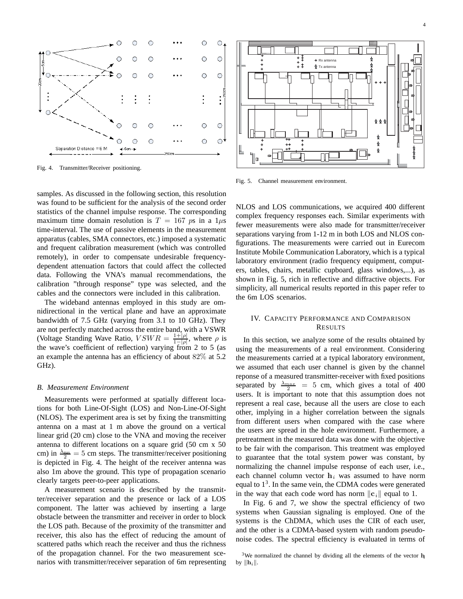

Fig. 4. Transmitter/Receiver positioning.

samples. As discussed in the following section, this resolution was found to be sufficient for the analysis of the second order statistics of the channel impulse response. The corresponding maximum time domain resolution is  $T = 167$  ps in a  $1\mu$ s time-interval. The use of passive elements in the measurement apparatus (cables, SMA connectors, etc.) imposed a systematic and frequent calibration measurement (which was controlled remotely), in order to compensate undesirable frequencydependent attenuation factors that could affect the collected data. Following the VNA's manual recommendations, the calibration "through response" type was selected, and the cables and the connectors were included in this calibration.

The wideband antennas employed in this study are omnidirectional in the vertical plane and have an approximate bandwidth of 7.5 GHz (varying from 3.1 to 10 GHz). They are not perfectly matched across the entire band, with a VSWR (Voltage Standing Wave Ratio,  $VSWR = \frac{1+|\rho|}{1-|\rho|}$ , where  $\rho$  is the wave's coefficient of reflection) varying from 2 to 5 (as an example the antenna has an efficiency of about 82% at 5.2 GHz).

#### *B. Measurement Environment*

Measurements were performed at spatially different locations for both Line-Of-Sight (LOS) and Non-Line-Of-Sight (NLOS). The experiment area is set by fixing the transmitting antenna on a mast at 1 m above the ground on a vertical linear grid (20 cm) close to the VNA and moving the receiver antenna to different locations on a square grid (50 cm x 50 cm) in  $\frac{\lambda_{\text{max}}}{2} = 5$  cm steps. The transmitter/receiver positioning is depicted in Fig. 4. The height of the receiver antenna was also 1m above the ground. This type of propagation scenario clearly targets peer-to-peer applications.

A measurement scenario is described by the transmitter/receiver separation and the presence or lack of a LOS component. The latter was achieved by inserting a large obstacle between the transmitter and receiver in order to block the LOS path. Because of the proximity of the transmitter and receiver, this also has the effect of reducing the amount of scattered paths which reach the receiver and thus the richness of the propagation channel. For the two measurement scenarios with transmitter/receiver separation of 6m representing



Fig. 5. Channel measurement environment.

NLOS and LOS communications, we acquired 400 different complex frequency responses each. Similar experiments with fewer measurements were also made for transmitter/receiver separations varying from 1-12 m in both LOS and NLOS configurations. The measurements were carried out in Eurecom Institute Mobile Communication Laboratory, which is a typical laboratory environment (radio frequency equipment, computers, tables, chairs, metallic cupboard, glass windows,...), as shown in Fig. 5, rich in reflective and diffractive objects. For simplicity, all numerical results reported in this paper refer to the 6m LOS scenarios.

# IV. CAPACITY PERFORMANCE AND COMPARISON RESULTS

In this section, we analyze some of the results obtained by using the measurements of a real environment. Considering the measurements carried at a typical laboratory environment, we assumed that each user channel is given by the channel reponse of a measured transmitter-receiver with fixed positions separated by  $\frac{\lambda_{max}}{2}$  = 5 cm, which gives a total of 400 users. It is important to note that this assumption does not represent a real case, because all the users are close to each other, implying in a higher correlation between the signals from different users when compared with the case where the users are spread in the hole environment. Furthermore, a pretreatment in the measured data was done with the objective to be fair with the comparison. This treatment was employed to guarantee that the total system power was constant, by normalizing the channel impulse response of each user, i.e., each channel column vector  $h_i$  was assumed to have norm equal to  $1<sup>3</sup>$ . In the same vein, the CDMA codes were generated in the way that each code word has norm  $\|\mathbf{c}_i\|$  equal to 1.

In Fig. 6 and 7, we show the spectral efficiency of two systems when Gaussian signaling is employed. One of the systems is the ChDMA, which uses the CIR of each user, and the other is a CDMA-based system with random pseudonoise codes. The spectral efficiency is evaluated in terms of

<sup>3</sup>We normalized the channel by dividing all the elements of the vector **h***<sup>i</sup>* by  $\|\mathbf{h}_i\|$ .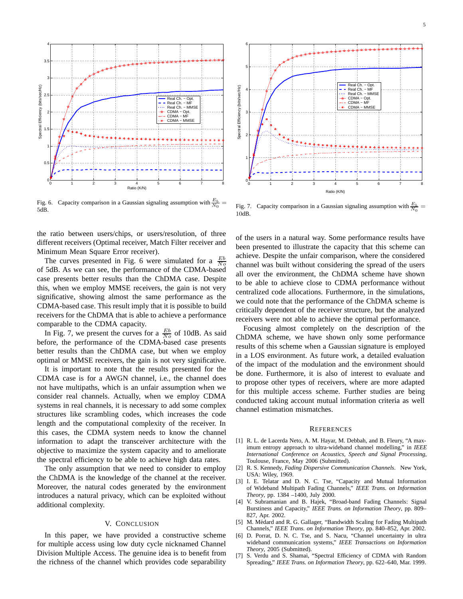

Fig. 6. Capacity comparison in a Gaussian signaling assumption with  $\frac{E_b}{N_0}$  = 5dB.

the ratio between users/chips, or users/resolution, of three different receivers (Optimal receiver, Match Filter receiver and Minimum Mean Square Error receiver).

The curves presented in Fig. 6 were simulated for a  $\frac{Eb}{N^o}$ of 5dB. As we can see, the performance of the CDMA-based case presents better results than the ChDMA case. Despite this, when we employ MMSE receivers, the gain is not very significative, showing almost the same performance as the CDMA-based case. This result imply that it is possible to build receivers for the ChDMA that is able to achieve a performance comparable to the CDMA capacity.

In Fig. 7, we present the curves for a  $\frac{Eb}{N_o}$  of 10dB. As said before, the performance of the CDMA-based case presents better results than the ChDMA case, but when we employ optimal or MMSE receivers, the gain is not very significative.

It is important to note that the results presented for the CDMA case is for a AWGN channel, i.e., the channel does not have multipaths, which is an unfair assumption when we consider real channels. Actually, when we employ CDMA systems in real channels, it is necessary to add some complex structures like scrambling codes, which increases the code length and the computational complexity of the receiver. In this cases, the CDMA system needs to know the channel information to adapt the transceiver architecture with the objective to maximize the system capacity and to ameliorate the spectral efficiency to be able to achieve high data rates.

The only assumption that we need to consider to employ the ChDMA is the knowledge of the channel at the receiver. Moreover, the natural codes generated by the environment introduces a natural privacy, which can be exploited without additional complexity.

# V. CONCLUSION

In this paper, we have provided a constructive scheme for multiple access using low duty cycle nicknamed Channel Division Multiple Access. The genuine idea is to benefit from the richness of the channel which provides code separability



Fig. 7. Capacity comparison in a Gaussian signaling assumption with  $\frac{E_b}{N_0}$ 10dB.

of the users in a natural way. Some performance results have been presented to illustrate the capacity that this scheme can achieve. Despite the unfair comparison, where the considered channel was built without considering the spread of the users all over the environment, the ChDMA scheme have shown to be able to achieve close to CDMA performance without centralized code allocations. Furthermore, in the simulations, we could note that the performance of the ChDMA scheme is critically dependent of the receiver structure, but the analyzed receivers were not able to achieve the optimal performance.

Focusing almost completely on the description of the ChDMA scheme, we have shown only some performance results of this scheme when a Gaussian signature is employed in a LOS environment. As future work, a detailed evaluation of the impact of the modulation and the environment should be done. Furthermore, it is also of interest to evaluate and to propose other types of receivers, where are more adapted for this multiple access scheme. Further studies are being conducted taking account mutual information criteria as well channel estimation mismatches.

#### **REFERENCES**

- [1] R. L. de Lacerda Neto, A. M. Hayar, M. Debbah, and B. Fleury, "A maximum entropy approach to ultra-wideband channel modelling," in *IEEE International Conference on Acoustics, Speech and Signal Processing*, Toulouse, France, May 2006 (Submitted).
- [2] R. S. Kennedy, *Fading Dispersive Communication Channels*. New York, USA: Wiley, 1969.
- [3] I. E. Telatar and D. N. C. Tse, "Capacity and Mutual Information of Wideband Multipath Fading Channels," *IEEE Trans. on Information Theory*, pp. 1384 –1400, July 2000.
- [4] V. Subramanian and B. Hajek, "Broad-band Fading Channels: Signal Burstiness and Capacity," *IEEE Trans. on Information Theory*, pp. 809– 827, Apr. 2002.
- [5] M. Médard and R. G. Gallager, "Bandwidth Scaling for Fading Multipath Channels," *IEEE Trans. on Information Theory*, pp. 840–852, Apr. 2002.
- [6] D. Porrat, D. N. C. Tse, and S. Nacu, "Channel uncertainty in ultra wideband communication systems," *IEEE Transactions on Information Theory*, 2005 (Submitted).
- [7] S. Verdu and S. Shamai, "Spectral Efficiency of CDMA with Random Spreading," *IEEE Trans. on Information Theory*, pp. 622–640, Mar. 1999.